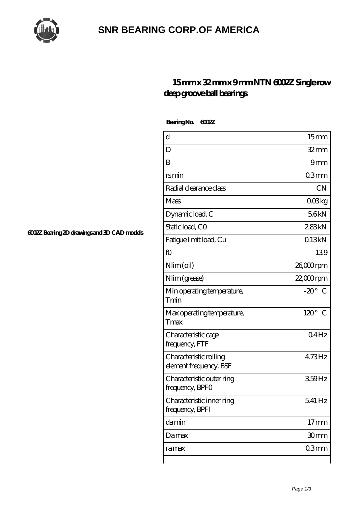

## **[SNR BEARING CORP.OF AMERICA](https://thebestofquebec.com)**

## **[15 mm x 32 mm x 9 mm NTN 6002Z Single row](https://thebestofquebec.com/au-64979059-ntn-6002z-single-row-deep-groove-ball-bearings.html) [deep groove ball bearings](https://thebestofquebec.com/au-64979059-ntn-6002z-single-row-deep-groove-ball-bearings.html)**

 **Bearing No. 6002Z**

| d                                                | 15 <sub>mm</sub> |
|--------------------------------------------------|------------------|
| D                                                | $32$ mm          |
| B                                                | 9mm              |
| rsmin                                            | 03mm             |
| Radial clearance class                           | <b>CN</b>        |
| Mass                                             | 008kg            |
| Dynamic load, C                                  | 56kN             |
| Static load, CO                                  | 283kN            |
| Fatigue limit load, Cu                           | 013kN            |
| fO                                               | 139              |
| Nlim (oil)                                       | 26,000rpm        |
| Nlim (grease)                                    | $22,000$ rpm     |
| Min operating temperature,<br>Tmin               | $-20^\circ$ C    |
| Max operating temperature,<br>Tmax               | $120^\circ$ C    |
| Characteristic cage<br>frequency, FTF            | 04Hz             |
| Characteristic rolling<br>element frequency, BSF | 473Hz            |
| Characteristic outer ring<br>frequency, BPFO     | 359Hz            |
| Characteristic inner ring<br>frequency, BPFI     | 541 Hz           |
| damin                                            | $17 \text{mm}$   |
| Damax                                            | 30mm             |
| ra max                                           | 03mm             |
|                                                  |                  |

**[6002Z Bearing 2D drawings and 3D CAD models](https://thebestofquebec.com/pic-64979059.html)**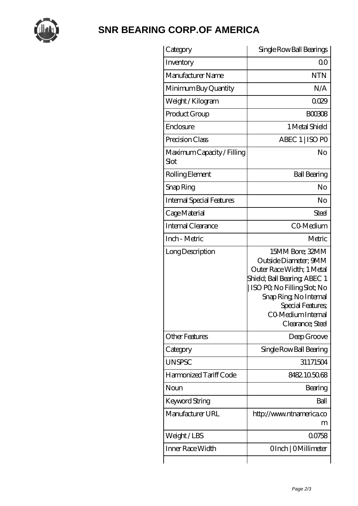

## **[SNR BEARING CORP.OF AMERICA](https://thebestofquebec.com)**

| Category                           | Single Row Ball Bearings                                                                                                                                                                                                       |
|------------------------------------|--------------------------------------------------------------------------------------------------------------------------------------------------------------------------------------------------------------------------------|
| Inventory                          | Q0                                                                                                                                                                                                                             |
| Manufacturer Name                  | <b>NTN</b>                                                                                                                                                                                                                     |
| Minimum Buy Quantity               | N/A                                                                                                                                                                                                                            |
| Weight /Kilogram                   | 0029                                                                                                                                                                                                                           |
| Product Group                      | BOO3O8                                                                                                                                                                                                                         |
| Enclosure                          | 1 Metal Shield                                                                                                                                                                                                                 |
| Precision Class                    | ABEC 1   ISO PO                                                                                                                                                                                                                |
| Maximum Capacity / Filling<br>Slot | No                                                                                                                                                                                                                             |
| Rolling Element                    | <b>Ball Bearing</b>                                                                                                                                                                                                            |
| Snap Ring                          | No                                                                                                                                                                                                                             |
| <b>Internal Special Features</b>   | No                                                                                                                                                                                                                             |
| Cage Material                      | Steel                                                                                                                                                                                                                          |
| Internal Clearance                 | CO-Medium                                                                                                                                                                                                                      |
| Inch - Metric                      | Metric                                                                                                                                                                                                                         |
| Long Description                   | 15MM Bore; 32MM<br>Outside Diameter; 9MM<br>Outer Race Width; 1 Metal<br>Shield; Ball Bearing; ABEC 1<br>  ISO PQ No Filling Slot; No<br>Snap Ring, No Internal<br>Special Features;<br>CO Medium Internal<br>Clearance; Steel |
| <b>Other Features</b>              | Deep Groove                                                                                                                                                                                                                    |
| Category                           | Single Row Ball Bearing                                                                                                                                                                                                        |
| <b>UNSPSC</b>                      | 31171504                                                                                                                                                                                                                       |
| Harmonized Tariff Code             | 8482105068                                                                                                                                                                                                                     |
| Noun                               | Bearing                                                                                                                                                                                                                        |
| Keyword String                     | Ball                                                                                                                                                                                                                           |
| Manufacturer URL                   | http://www.ntnamerica.co<br>m                                                                                                                                                                                                  |
| Weight / LBS                       | 00758                                                                                                                                                                                                                          |
| Inner Race Width                   | OInch   OMillimeter                                                                                                                                                                                                            |